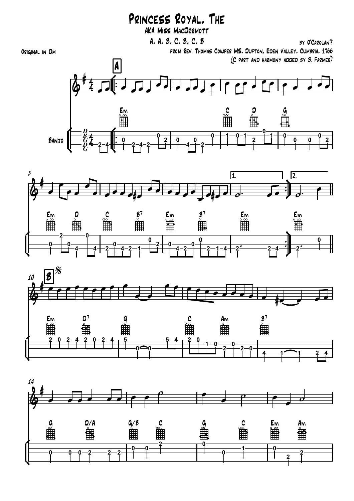## Princess Royal, The

AKA Miss MacDermott